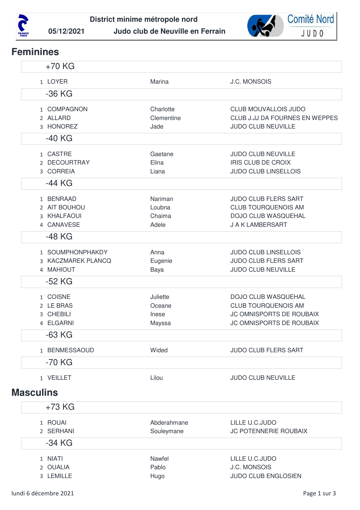



## **Feminines**

| $+70$ KG            |                 |                                       |
|---------------------|-----------------|---------------------------------------|
| 1 LOYER             | Marina          | <b>J.C. MONSOIS</b>                   |
| $-36$ KG            |                 |                                       |
| 1 COMPAGNON         | Charlotte       | <b>CLUB MOUVALLOIS JUDO</b>           |
| 2 ALLARD            | Clementine      | CLUB J.JJ DA FOURNES EN WEPPES        |
| 3 HONOREZ           | Jade            | <b>JUDO CLUB NEUVILLE</b>             |
| -40 KG              |                 |                                       |
| 1 CASTRE            | Gaetane         | <b>JUDO CLUB NEUVILLE</b>             |
| 2 DECOURTRAY        | Elina           | <b>IRIS CLUB DE CROIX</b>             |
| 3 CORREIA           | Liana           | <b>JUDO CLUB LINSELLOIS</b>           |
| -44 KG              |                 |                                       |
| 1 BENRAAD           | Nariman         | <b>JUDO CLUB FLERS SART</b>           |
| 2 AIT BOUHOU        | Loubna          | <b>CLUB TOURQUENOIS AM</b>            |
| 3 KHALFAOUI         | Chaima          | DOJO CLUB WASQUEHAL                   |
| 4 CANAVESE          | Adele           | J A K LAMBERSART                      |
| -48 KG              |                 |                                       |
| 1 SOUMPHONPHAKDY    | Anna            | <b>JUDO CLUB LINSELLOIS</b>           |
| 3 KACZMAREK PLANCQ  | Eugenie         | <b>JUDO CLUB FLERS SART</b>           |
| 4 MAHIOUT           | Baya            | JUDO CLUB NEUVILLE                    |
| -52 KG              |                 |                                       |
| 1 COISNE            | Juliette        | <b>DOJO CLUB WASQUEHAL</b>            |
| 2 LE BRAS           | Oceane          | <b>CLUB TOURQUENOIS AM</b>            |
| 3 CHEBILI           | Inese           | JC OMNISPORTS DE ROUBAIX              |
| 4 ELGARNI           | Mayssa          | JC OMNISPORTS DE ROUBAIX              |
| $-63$ KG            |                 |                                       |
| 1 BENMESSAOUD       | Wided           | <b>JUDO CLUB FLERS SART</b>           |
| $-70$ KG            |                 |                                       |
| 1 VEILLET           | Lilou           | <b>JUDO CLUB NEUVILLE</b>             |
| <b>Masculins</b>    |                 |                                       |
| $+73$ KG            |                 |                                       |
| 1 ROUAI             | Abderahmane     | LILLE U.C.JUDO                        |
| 2 SERHANI           | Souleymane      | JC POTENNERIE ROUBAIX                 |
| -34 KG              |                 |                                       |
|                     |                 |                                       |
| 1 NIATI<br>2 OUALIA | Nawfel<br>Pablo | LILLE U.C.JUDO<br><b>J.C. MONSOIS</b> |
| 3 LEMILLE           | Hugo            | JUDO CLUB ENGLOSIEN                   |
|                     |                 |                                       |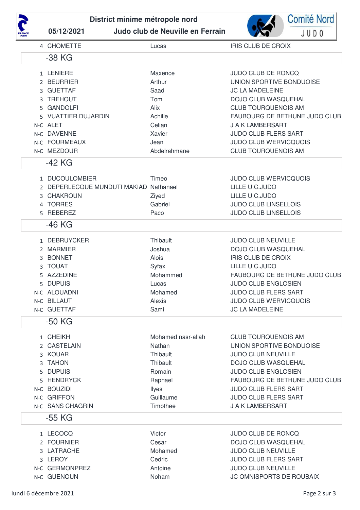



|    | 4 CHOMETTE                             | Lucas              | <b>IRIS CLUB DE CROIX</b>     |
|----|----------------------------------------|--------------------|-------------------------------|
|    | -38 KG                                 |                    |                               |
|    | 1 LENIERE                              | Maxence            | JUDO CLUB DE RONCQ            |
|    | 2 BEURRIER                             | Arthur             | UNION SPORTIVE BONDUOISE      |
|    | 3 GUETTAF                              | Saad               | <b>JC LA MADELEINE</b>        |
| 3  | <b>TREHOUT</b>                         | Tom                | <b>DOJO CLUB WASQUEHAL</b>    |
| 5. | <b>GANDOLFI</b>                        | Alix               | <b>CLUB TOURQUENOIS AM</b>    |
|    | 5 VUATTIER DUJARDIN                    | Achille            | FAUBOURG DE BETHUNE JUDO CLUB |
|    | N-C ALET                               | Celian             | J A K LAMBERSART              |
|    | N-C DAVENNE                            | Xavier             | <b>JUDO CLUB FLERS SART</b>   |
|    | N-C FOURMEAUX                          | Jean               | <b>JUDO CLUB WERVICQUOIS</b>  |
|    | N-C MEZDOUR                            | Abdelrahmane       | <b>CLUB TOURQUENOIS AM</b>    |
|    | -42 KG                                 |                    |                               |
|    | 1 DUCOULOMBIER                         | Timeo              | <b>JUDO CLUB WERVICQUOIS</b>  |
|    |                                        |                    |                               |
|    | 2 DEPERLECQUE MUNDUTI MAKIAD Nathanael |                    | LILLE U.C.JUDO                |
|    | 3 CHAKROUN                             | Ziyed              | LILLE U.C.JUDO                |
|    | 4 TORRES                               | Gabriel            | <b>JUDO CLUB LINSELLOIS</b>   |
|    | 5 REBEREZ                              | Paco               | <b>JUDO CLUB LINSELLOIS</b>   |
|    | -46 KG                                 |                    |                               |
|    | 1 DEBRUYCKER                           | Thibault           | <b>JUDO CLUB NEUVILLE</b>     |
|    | 2 MARMIER                              | Joshua             | DOJO CLUB WASQUEHAL           |
|    | 3 BONNET                               | Alois              | <b>IRIS CLUB DE CROIX</b>     |
| 3  | <b>TOUAT</b>                           | Syfax              | LILLE U.C.JUDO                |
| 5. | <b>AZZEDINE</b>                        | Mohammed           | FAUBOURG DE BETHUNE JUDO CLUB |
|    | 5 DUPUIS                               | Lucas              | <b>JUDO CLUB ENGLOSIEN</b>    |
|    | N-C ALOUADNI                           | Mohamed            | <b>JUDO CLUB FLERS SART</b>   |
|    | N-C BILLAUT                            | Alexis             | <b>JUDO CLUB WERVICQUOIS</b>  |
|    | N-C GUETTAF                            | Sami               | <b>JC LA MADELEINE</b>        |
|    | $-50$ KG                               |                    |                               |
|    | 1 CHEIKH                               | Mohamed nasr-allah | <b>CLUB TOURQUENOIS AM</b>    |
|    | 2 CASTELAIN                            | Nathan             | UNION SPORTIVE BONDUOISE      |
|    | 3 KOUAR                                | Thibault           | <b>JUDO CLUB NEUVILLE</b>     |
| 3  | <b>TAHON</b>                           | Thibault           | <b>DOJO CLUB WASQUEHAL</b>    |
| 5  | <b>DUPUIS</b>                          | Romain             | <b>JUDO CLUB ENGLOSIEN</b>    |
| 5  | <b>HENDRYCK</b>                        | Raphael            | FAUBOURG DE BETHUNE JUDO CLUB |
|    | N-C BOUZIDI                            | Ilyes              | <b>JUDO CLUB FLERS SART</b>   |
|    | N-C GRIFFON                            | Guillaume          | <b>JUDO CLUB FLERS SART</b>   |
|    | N-C SANS CHAGRIN                       | Timothee           | J A K LAMBERSART              |
|    | -55 KG                                 |                    |                               |
|    | 1 LECOCQ                               | Victor             | <b>JUDO CLUB DE RONCQ</b>     |
|    | 2 FOURNIER                             | Cesar              | DOJO CLUB WASQUEHAL           |
| 3  | LATRACHE                               | Mohamed            | <b>JUDO CLUB NEUVILLE</b>     |
|    | 3 LEROY                                | Cedric             | <b>JUDO CLUB FLERS SART</b>   |
|    | N-C GERMONPREZ                         | Antoine            | <b>JUDO CLUB NEUVILLE</b>     |
|    | N-C GUENOUN                            | Noham              | JC OMNISPORTS DE ROUBAIX      |
|    |                                        |                    |                               |